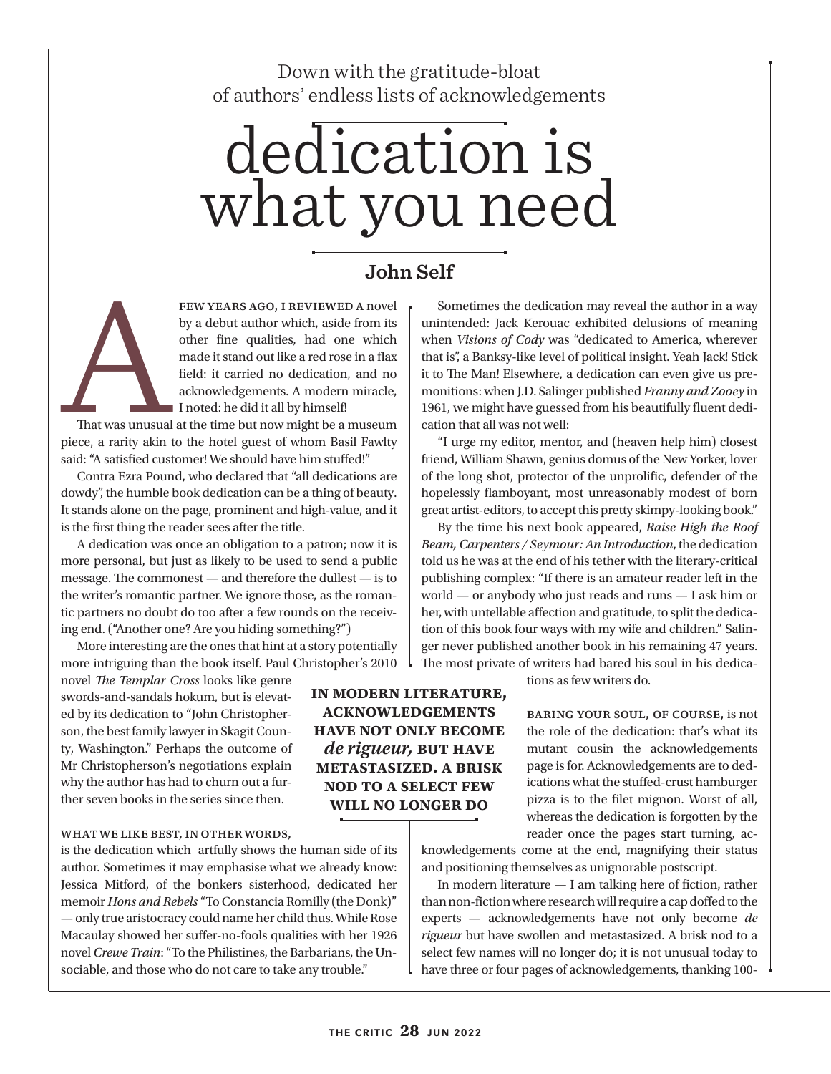Down with the gratitude-bloat of authors' endless lists of acknowledgements

# dedication is what you need

### **John Self**

FEW YEARS AGO, I REVIEWED A novel<br>by a debut author which, aside from its<br>other fine qualities, had one which<br>made it stand out like a red rose in a flax<br>field: it carried no dedication, and no<br>acknowledgements. A modern m by a debut author which, aside from its other fine qualities, had one which made it stand out like a red rose in a flax field: it carried no dedication, and no acknowledgements. A modern miracle, I noted: he did it all by himself!

That was unusual at the time but now might be a museum piece, a rarity akin to the hotel guest of whom Basil Fawlty said: "A satisfied customer! We should have him stuffed!"

Contra Ezra Pound, who declared that "all dedications are dowdy", the humble book dedication can be a thing of beauty. It stands alone on the page, prominent and high-value, and it is the first thing the reader sees after the title.

A dedication was once an obligation to a patron; now it is more personal, but just as likely to be used to send a public message. The commonest — and therefore the dullest — is to the writer's romantic partner. We ignore those, as the romantic partners no doubt do too after a few rounds on the receiving end. ("Another one? Are you hiding something?")

More interesting are the ones that hint at a story potentially more intriguing than the book itself. Paul Christopher's 2010

novel *The Templar Cross* looks like genre swords-and-sandals hokum, but is elevated by its dedication to "John Christopherson, the best family lawyer in Skagit County, Washington." Perhaps the outcome of Mr Christopherson's negotiations explain why the author has had to churn out a further seven books in the series since then.

#### WHAT WE LIKE BEST, IN OTHER WORDS,

is the dedication which artfully shows the human side of its author. Sometimes it may emphasise what we already know: Jessica Mitford, of the bonkers sisterhood, dedicated her memoir *Hons and Rebels* "To Constancia Romilly (the Donk)" — only true aristocracy could name her child thus. While Rose Macaulay showed her suffer-no-fools qualities with her 1926 novel *Crewe Train*: "To the Philistines, the Barbarians, the Unsociable, and those who do not care to take any trouble."

Sometimes the dedication may reveal the author in a way unintended: Jack Kerouac exhibited delusions of meaning when *Visions of Cody* was "dedicated to America, wherever that is", a Banksy-like level of political insight. Yeah Jack! Stick it to The Man! Elsewhere, a dedication can even give us premonitions: when J.D. Salinger published *Franny and Zooey* in 1961, we might have guessed from his beautifully fluent dedication that all was not well:

"I urge my editor, mentor, and (heaven help him) closest friend, William Shawn, genius domus of the New Yorker, lover of the long shot, protector of the unprolific, defender of the hopelessly flamboyant, most unreasonably modest of born great artist-editors, to accept this pretty skimpy-looking book."

By the time his next book appeared, *Raise High the Roof Beam, Carpenters / Seymour: An Introduction*, the dedication told us he was at the end of his tether with the literary-critical publishing complex: "If there is an amateur reader left in the world — or anybody who just reads and runs — I ask him or her, with untellable affection and gratitude, to split the dedication of this book four ways with my wife and children." Salinger never published another book in his remaining 47 years. The most private of writers had bared his soul in his dedica-

tions as few writers do.

Baring your soul, of course, is not the role of the dedication: that's what its mutant cousin the acknowledgements page is for. Acknowledgements are to dedications what the stuffed-crust hamburger pizza is to the filet mignon. Worst of all, whereas the dedication is forgotten by the reader once the pages start turning, ac-

knowledgements come at the end, magnifying their status and positioning themselves as unignorable postscript.

In modern literature — I am talking here of fiction, rather than non-fiction where research will require a cap doffed to the experts — acknowledgements have not only become *de rigueur* but have swollen and metastasized. A brisk nod to a select few names will no longer do; it is not unusual today to have three or four pages of acknowledgements, thanking 100-

**In modern literature, acknowledgements have not only become**  *de rigueur*, BUT HAVE **metastasized. A brisk nod to a select few will no longer do**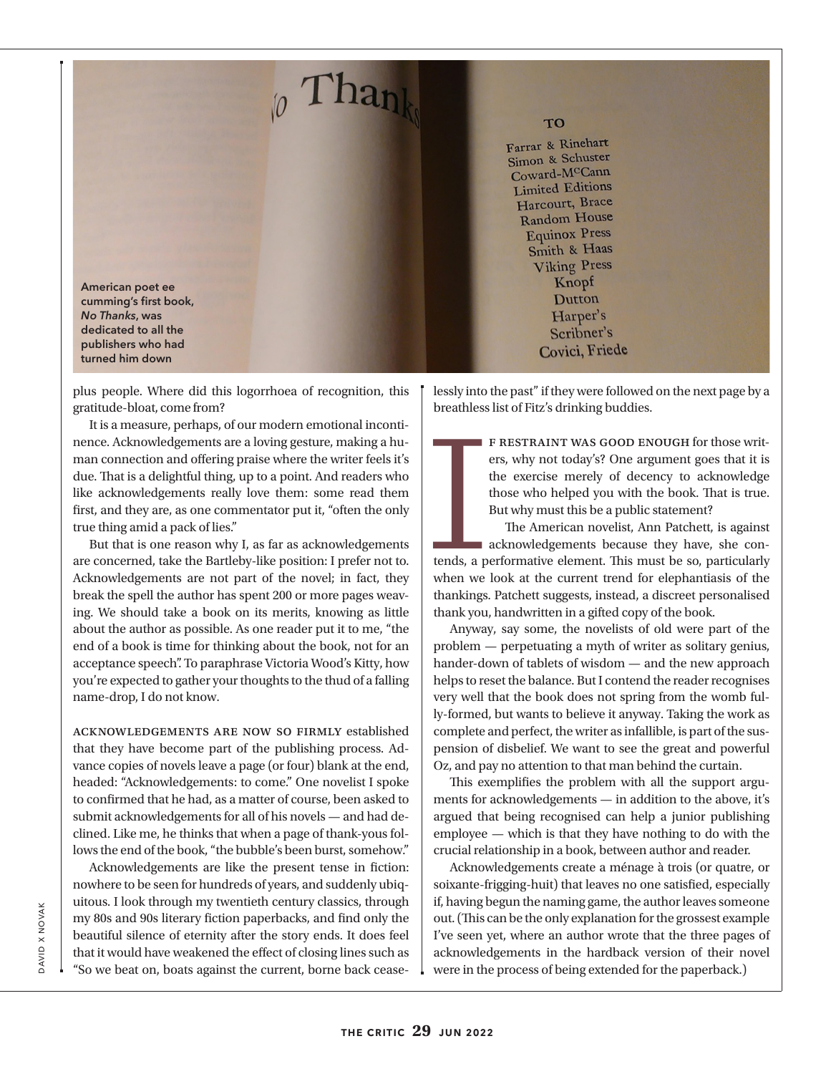

plus people. Where did this logorrhoea of recognition, this gratitude-bloat, come from?

It is a measure, perhaps, of our modern emotional incontinence. Acknowledgements are a loving gesture, making a human connection and offering praise where the writer feels it's due. That is a delightful thing, up to a point. And readers who like acknowledgements really love them: some read them first, and they are, as one commentator put it, "often the only true thing amid a pack of lies."

But that is one reason why I, as far as acknowledgements are concerned, take the Bartleby-like position: I prefer not to. Acknowledgements are not part of the novel; in fact, they break the spell the author has spent 200 or more pages weaving. We should take a book on its merits, knowing as little about the author as possible. As one reader put it to me, "the end of a book is time for thinking about the book, not for an acceptance speech". To paraphrase Victoria Wood's Kitty, how you're expected to gather your thoughts to the thud of a falling name-drop, I do not know.

Acknowledgements are now so firmly established that they have become part of the publishing process. Advance copies of novels leave a page (or four) blank at the end, headed: "Acknowledgements: to come." One novelist I spoke to confirmed that he had, as a matter of course, been asked to submit acknowledgements for all of his novels — and had declined. Like me, he thinks that when a page of thank-yous follows the end of the book, "the bubble's been burst, somehow."

Acknowledgements are like the present tense in fiction: nowhere to be seen for hundreds of years, and suddenly ubiquitous. I look through my twentieth century classics, through my 80s and 90s literary fiction paperbacks, and find only the beautiful silence of eternity after the story ends. It does feel that it would have weakened the effect of closing lines such as "So we beat on, boats against the current, borne back ceaselessly into the past" if they were followed on the next page by a breathless list of Fitz's drinking buddies.

> f restraint was good enough for those writers, why not today's? One argument goes that it is the exercise merely of decency to acknowledge those who helped you with the book. That is true. But why must this be a public statement?

**ICCLUDE:**<br> **ICCLUDE:**<br> **ICCLUDE:**<br> **ICCLUDE:** The American novelist, Ann Patchett, is against acknowledgements because they have, she contends, a performative element. This must be so, particularly when we look at the current trend for elephantiasis of the thankings. Patchett suggests, instead, a discreet personalised thank you, handwritten in a gifted copy of the book.

Anyway, say some, the novelists of old were part of the problem — perpetuating a myth of writer as solitary genius, hander-down of tablets of wisdom — and the new approach helps to reset the balance. But I contend the reader recognises very well that the book does not spring from the womb fully-formed, but wants to believe it anyway. Taking the work as complete and perfect, the writer as infallible, is part of the suspension of disbelief. We want to see the great and powerful Oz, and pay no attention to that man behind the curtain.

This exemplifies the problem with all the support arguments for acknowledgements — in addition to the above, it's argued that being recognised can help a junior publishing employee — which is that they have nothing to do with the crucial relationship in a book, between author and reader.

Acknowledgements create a ménage à trois (or quatre, or soixante-frigging-huit) that leaves no one satisfied, especially if, having begun the naming game, the author leaves someone out. (This can be the only explanation for the grossest example I've seen yet, where an author wrote that the three pages of acknowledgements in the hardback version of their novel were in the process of being extended for the paperback.)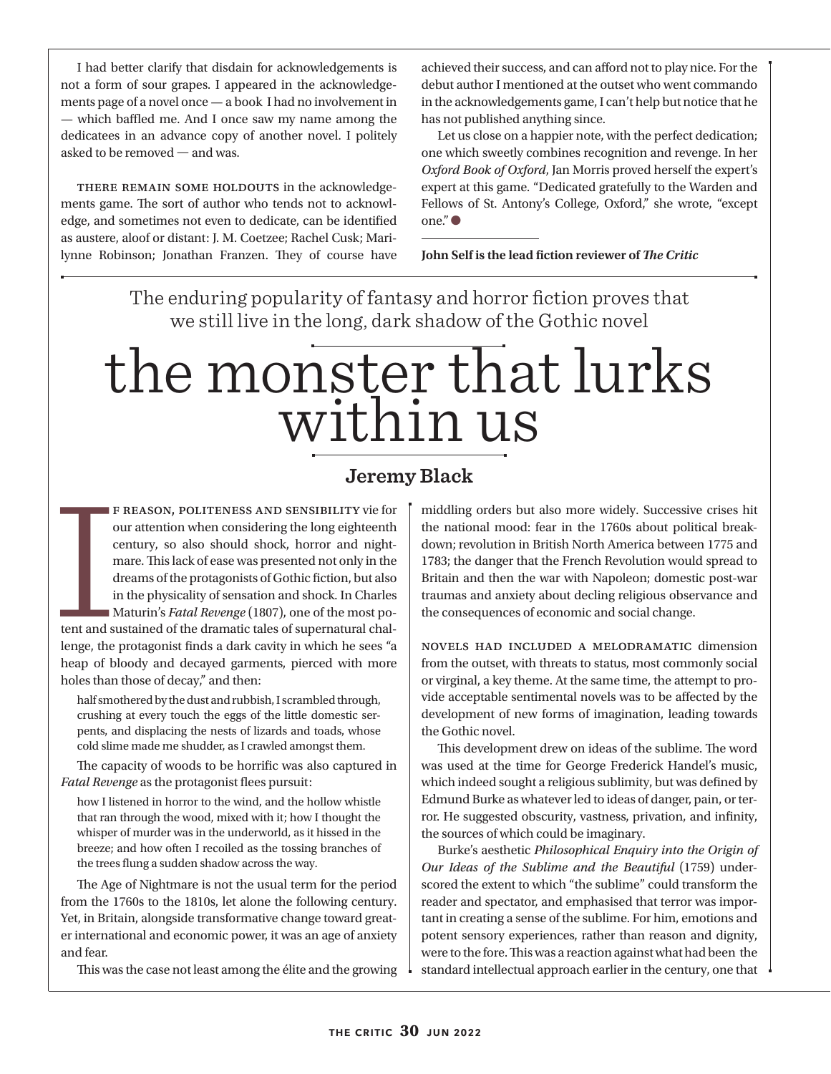I had better clarify that disdain for acknowledgements is not a form of sour grapes. I appeared in the acknowledgements page of a novel once — a book I had no involvement in — which baffled me. And I once saw my name among the dedicatees in an advance copy of another novel. I politely asked to be removed — and was.

THERE REMAIN SOME HOLDOUTS in the acknowledgements game. The sort of author who tends not to acknowledge, and sometimes not even to dedicate, can be identified as austere, aloof or distant: J. M. Coetzee; Rachel Cusk; Marilynne Robinson; Jonathan Franzen. They of course have

achieved their success, and can afford not to play nice. For the debut author I mentioned at the outset who went commando in the acknowledgements game, I can't help but notice that he has not published anything since.

Let us close on a happier note, with the perfect dedication; one which sweetly combines recognition and revenge. In her *Oxford Book of Oxford*, Jan Morris proved herself the expert's expert at this game. "Dedicated gratefully to the Warden and Fellows of St. Antony's College, Oxford," she wrote, "except one." ●

**John Self is the lead fiction reviewer of** *The Critic* 

The enduring popularity of fantasy and horror fiction proves that we still live in the long, dark shadow of the Gothic novel

## the monster that lurks within us

### **Jeremy Black**

I f reason, politeness and sensibility vie for our attention when considering the long eighteenth century, so also should shock, horror and nightmare. This lack of ease was presented not only in the dreams of the protagonists of Gothic fiction, but also in the physicality of sensation and shock. In Charles Maturin's *Fatal Revenge* (1807), one of the most potent and sustained of the dramatic tales of supernatural challenge, the protagonist finds a dark cavity in which he sees "a heap of bloody and decayed garments, pierced with more holes than those of decay," and then:

half smothered by the dust and rubbish, I scrambled through, crushing at every touch the eggs of the little domestic serpents, and displacing the nests of lizards and toads, whose cold slime made me shudder, as I crawled amongst them.

The capacity of woods to be horrific was also captured in *Fatal Revenge* as the protagonist flees pursuit:

how I listened in horror to the wind, and the hollow whistle that ran through the wood, mixed with it; how I thought the whisper of murder was in the underworld, as it hissed in the breeze; and how often I recoiled as the tossing branches of the trees flung a sudden shadow across the way.

The Age of Nightmare is not the usual term for the period from the 1760s to the 1810s, let alone the following century. Yet, in Britain, alongside transformative change toward greater international and economic power, it was an age of anxiety and fear.

This was the case not least among the élite and the growing

middling orders but also more widely. Successive crises hit the national mood: fear in the 1760s about political breakdown; revolution in British North America between 1775 and 1783; the danger that the French Revolution would spread to Britain and then the war with Napoleon; domestic post-war traumas and anxiety about decling religious observance and the consequences of economic and social change.

Novels had included a melodramatic dimension from the outset, with threats to status, most commonly social or virginal, a key theme. At the same time, the attempt to provide acceptable sentimental novels was to be affected by the development of new forms of imagination, leading towards the Gothic novel.

This development drew on ideas of the sublime. The word was used at the time for George Frederick Handel's music, which indeed sought a religious sublimity, but was defined by Edmund Burke as whatever led to ideas of danger, pain, or terror. He suggested obscurity, vastness, privation, and infinity, the sources of which could be imaginary.

Burke's aesthetic *Philosophical Enquiry into the Origin of Our Ideas of the Sublime and the Beautiful* (1759) underscored the extent to which "the sublime" could transform the reader and spectator, and emphasised that terror was important in creating a sense of the sublime. For him, emotions and potent sensory experiences, rather than reason and dignity, were to the fore. This was a reaction against what had been the standard intellectual approach earlier in the century, one that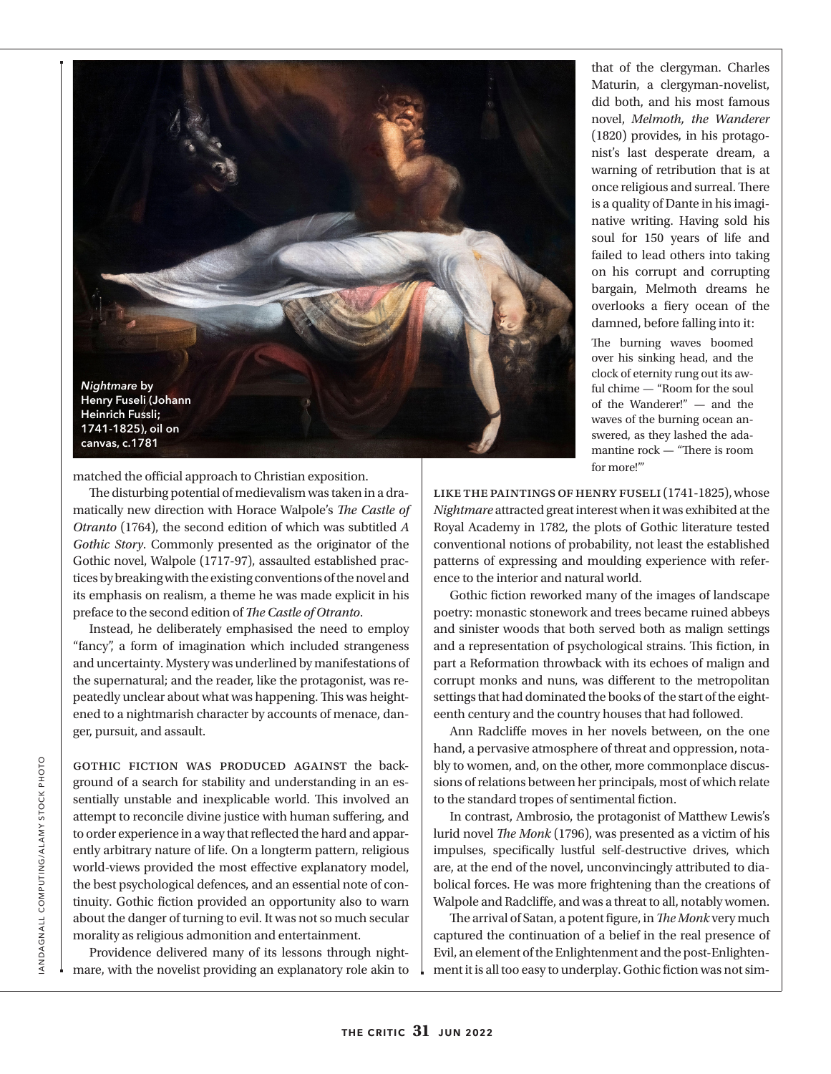

matched the official approach to Christian exposition.

The disturbing potential of medievalism was taken in a dramatically new direction with Horace Walpole's *The Castle of Otranto* (1764), the second edition of which was subtitled *A Gothic Story*. Commonly presented as the originator of the Gothic novel, Walpole (1717-97), assaulted established practices by breaking with the existing conventions of the novel and its emphasis on realism, a theme he was made explicit in his preface to the second edition of *The Castle of Otranto*.

Instead, he deliberately emphasised the need to employ "fancy", a form of imagination which included strangeness and uncertainty. Mystery was underlined by manifestations of the supernatural; and the reader, like the protagonist, was repeatedly unclear about what was happening. This was heightened to a nightmarish character by accounts of menace, danger, pursuit, and assault.

Gothic fiction was produced against the background of a search for stability and understanding in an essentially unstable and inexplicable world. This involved an attempt to reconcile divine justice with human suffering, and to order experience in a way that reflected the hard and apparently arbitrary nature of life. On a longterm pattern, religious world-views provided the most effective explanatory model, the best psychological defences, and an essential note of continuity. Gothic fiction provided an opportunity also to warn about the danger of turning to evil. It was not so much secular morality as religious admonition and entertainment.

Providence delivered many of its lessons through nightmare, with the novelist providing an explanatory role akin to that of the clergyman. Charles Maturin, a clergyman-novelist, did both, and his most famous novel, *Melmoth, the Wanderer* (1820) provides, in his protagonist's last desperate dream, a warning of retribution that is at once religious and surreal. There is a quality of Dante in his imaginative writing. Having sold his soul for 150 years of life and failed to lead others into taking on his corrupt and corrupting bargain, Melmoth dreams he overlooks a fiery ocean of the damned, before falling into it:

The burning waves boomed over his sinking head, and the clock of eternity rung out its awful chime — "Room for the soul of the Wanderer!" — and the waves of the burning ocean answered, as they lashed the adamantine rock — "There is room for more!"'

Like the paintings of Henry Fuseli (1741-1825), whose *Nightmare* attracted great interest when it was exhibited at the Royal Academy in 1782, the plots of Gothic literature tested conventional notions of probability, not least the established patterns of expressing and moulding experience with reference to the interior and natural world.

Gothic fiction reworked many of the images of landscape poetry: monastic stonework and trees became ruined abbeys and sinister woods that both served both as malign settings and a representation of psychological strains. This fiction, in part a Reformation throwback with its echoes of malign and corrupt monks and nuns, was different to the metropolitan settings that had dominated the books of the start of the eighteenth century and the country houses that had followed.

Ann Radcliffe moves in her novels between, on the one hand, a pervasive atmosphere of threat and oppression, notably to women, and, on the other, more commonplace discussions of relations between her principals, most of which relate to the standard tropes of sentimental fiction.

In contrast, Ambrosio, the protagonist of Matthew Lewis's lurid novel *The Monk* (1796), was presented as a victim of his impulses, specifically lustful self-destructive drives, which are, at the end of the novel, unconvincingly attributed to diabolical forces. He was more frightening than the creations of Walpole and Radcliffe, and was a threat to all, notably women.

The arrival of Satan, a potent figure, in *The Monk* very much captured the continuation of a belief in the real presence of Evil, an element of the Enlightenment and the post-Enlightenment it is all too easy to underplay. Gothic fiction was not sim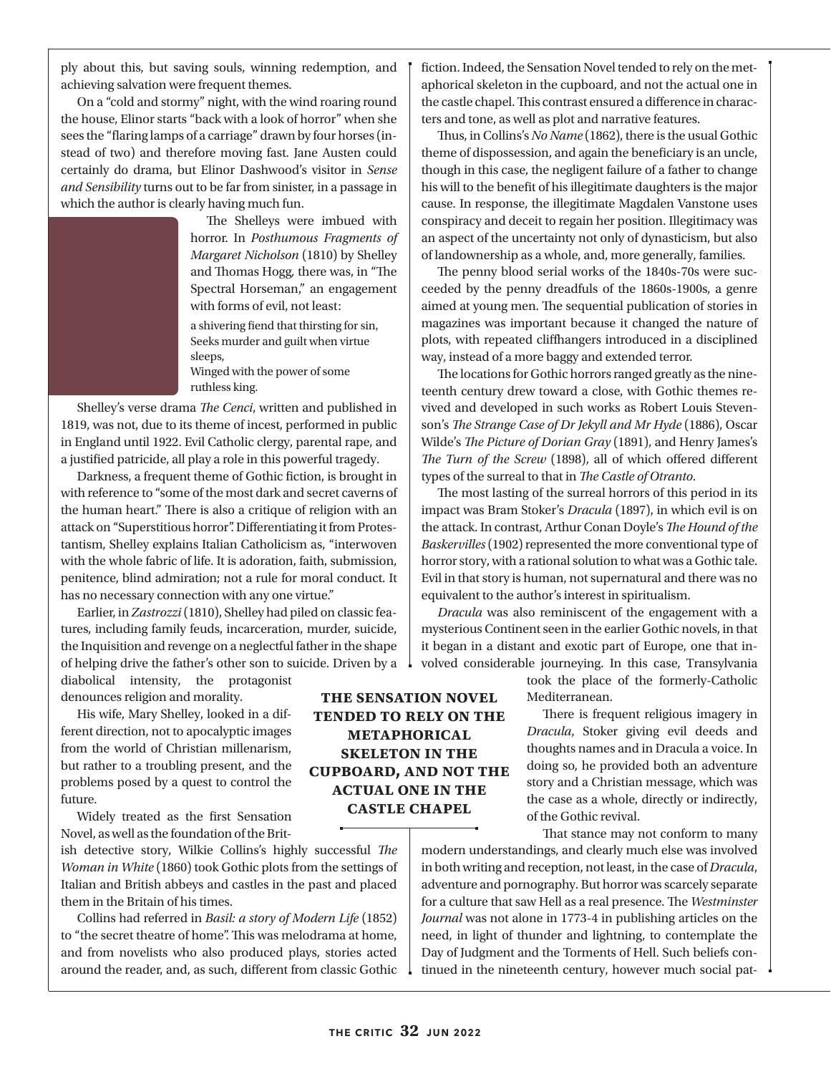ply about this, but saving souls, winning redemption, and achieving salvation were frequent themes.

On a "cold and stormy" night, with the wind roaring round the house, Elinor starts "back with a look of horror" when she sees the "flaring lamps of a carriage" drawn by four horses (instead of two) and therefore moving fast. Jane Austen could certainly do drama, but Elinor Dashwood's visitor in *Sense and Sensibility* turns out to be far from sinister, in a passage in which the author is clearly having much fun.

> The Shelleys were imbued with horror. In *Posthumous Fragments of Margaret Nicholson* (1810) by Shelley and Thomas Hogg*,* there was, in "The Spectral Horseman," an engagement with forms of evil, not least:

a shivering fiend that thirsting for sin, Seeks murder and guilt when virtue sleeps, Winged with the power of some

ruthless king.

Shelley's verse drama *The Cenci*, written and published in 1819, was not, due to its theme of incest, performed in public in England until 1922. Evil Catholic clergy, parental rape, and a justified patricide, all play a role in this powerful tragedy.

Darkness, a frequent theme of Gothic fiction, is brought in with reference to "some of the most dark and secret caverns of the human heart." There is also a critique of religion with an attack on "Superstitious horror". Differentiating it from Protestantism, Shelley explains Italian Catholicism as, "interwoven with the whole fabric of life. It is adoration, faith, submission, penitence, blind admiration; not a rule for moral conduct. It has no necessary connection with any one virtue."

Earlier, in *Zastrozzi* (1810), Shelley had piled on classic features, including family feuds, incarceration, murder, suicide, the Inquisition and revenge on a neglectful father in the shape of helping drive the father's other son to suicide. Driven by a

diabolical intensity, the protagonist denounces religion and morality.

His wife, Mary Shelley, looked in a different direction, not to apocalyptic images from the world of Christian millenarism, but rather to a troubling present, and the problems posed by a quest to control the future.

Widely treated as the first Sensation Novel, as well as the foundation of the Brit-

ish detective story, Wilkie Collins's highly successful *The Woman in White* (1860) took Gothic plots from the settings of Italian and British abbeys and castles in the past and placed them in the Britain of his times.

Collins had referred in *Basil: a story of Modern Life* (1852) to "the secret theatre of home". This was melodrama at home, and from novelists who also produced plays, stories acted around the reader, and, as such, different from classic Gothic

**the sensation novel tended to rely on the metaphorical skeleton in the cupboard, and not the actual one in the castle chapel** 

fiction. Indeed, the Sensation Novel tended to rely on the metaphorical skeleton in the cupboard, and not the actual one in the castle chapel. This contrast ensured a difference in characters and tone, as well as plot and narrative features.

Thus, in Collins's *No Name* (1862), there is the usual Gothic theme of dispossession, and again the beneficiary is an uncle, though in this case, the negligent failure of a father to change his will to the benefit of his illegitimate daughters is the major cause. In response, the illegitimate Magdalen Vanstone uses conspiracy and deceit to regain her position. Illegitimacy was an aspect of the uncertainty not only of dynasticism, but also of landownership as a whole, and, more generally, families.

The penny blood serial works of the 1840s-70s were succeeded by the penny dreadfuls of the 1860s-1900s, a genre aimed at young men. The sequential publication of stories in magazines was important because it changed the nature of plots, with repeated cliffhangers introduced in a disciplined way, instead of a more baggy and extended terror.

The locations for Gothic horrors ranged greatly as the nineteenth century drew toward a close, with Gothic themes revived and developed in such works as Robert Louis Stevenson's *The Strange Case of Dr Jekyll and Mr Hyde* (1886), Oscar Wilde's *The Picture of Dorian Gray* (1891), and Henry James's *The Turn of the Screw* (1898), all of which offered different types of the surreal to that in *The Castle of Otranto*.

The most lasting of the surreal horrors of this period in its impact was Bram Stoker's *Dracula* (1897), in which evil is on the attack. In contrast, Arthur Conan Doyle's *The Hound of the Baskervilles* (1902) represented the more conventional type of horror story, with a rational solution to what was a Gothic tale. Evil in that story is human, not supernatural and there was no equivalent to the author's interest in spiritualism.

*Dracula* was also reminiscent of the engagement with a mysterious Continent seen in the earlier Gothic novels, in that it began in a distant and exotic part of Europe, one that involved considerable journeying. In this case, Transylvania

> took the place of the formerly-Catholic Mediterranean.

There is frequent religious imagery in *Dracula*, Stoker giving evil deeds and thoughts names and in Dracula a voice. In doing so, he provided both an adventure story and a Christian message, which was the case as a whole, directly or indirectly, of the Gothic revival.

That stance may not conform to many

modern understandings, and clearly much else was involved in both writing and reception, not least, in the case of *Dracula*, adventure and pornography. But horror was scarcely separate for a culture that saw Hell as a real presence. The *Westminster Journal* was not alone in 1773-4 in publishing articles on the need, in light of thunder and lightning, to contemplate the Day of Judgment and the Torments of Hell. Such beliefs continued in the nineteenth century, however much social pat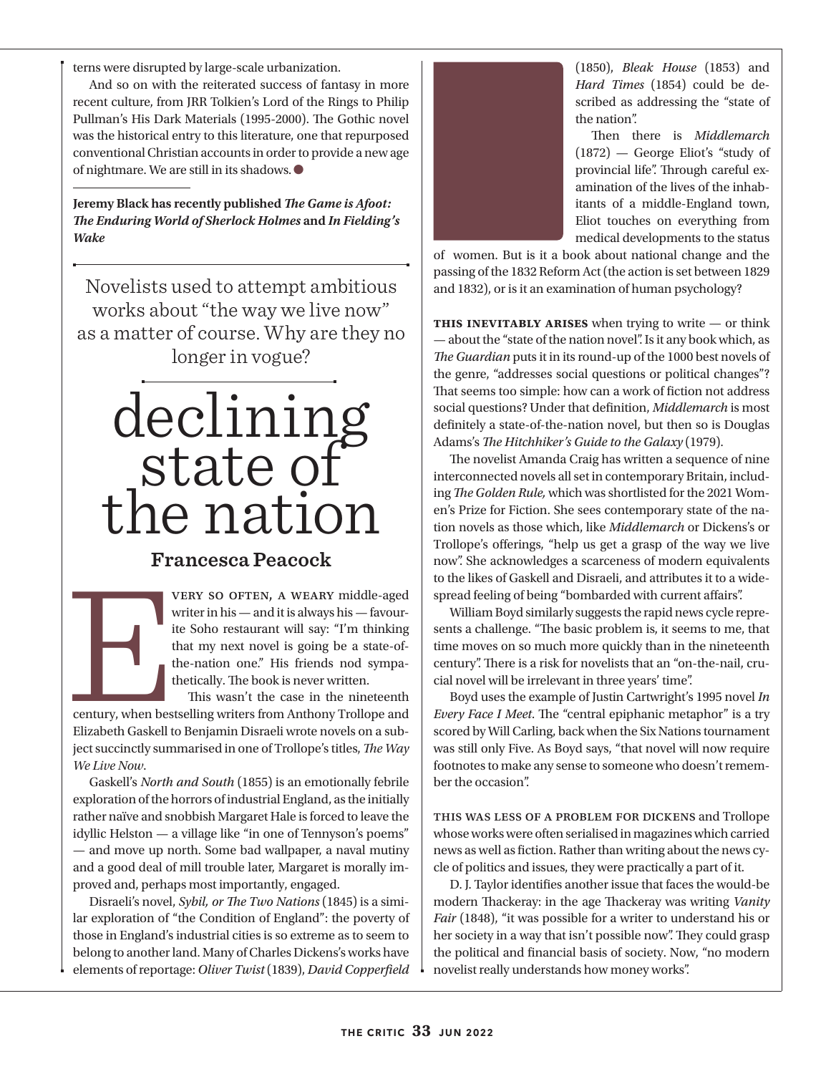terns were disrupted by large-scale urbanization.

And so on with the reiterated success of fantasy in more recent culture, from JRR Tolkien's Lord of the Rings to Philip Pullman's His Dark Materials (1995-2000). The Gothic novel was the historical entry to this literature, one that repurposed conventional Christian accounts in order to provide a new age of nightmare. We are still in its shadows. ●

**Jeremy Black has recently published** *The Game is Afoot: The Enduring World of Sherlock Holmes* **and** *In Fielding's Wake*

Novelists used to attempt ambitious works about "the way we live now" as a matter of course. Why are they no longer in vogue?

## declining state of the nation

#### **Francesca Peacock**

VERY SO OFTEN, A WEARY middle-aged<br>writer in his — and it is always his — favour-<br>ite Soho restaurant will say: "I'm thinking<br>that my next novel is going be a state-of-<br>the-nation one." His friends nod sympa-<br>theically. Th writer in his — and it is always his — favourite Soho restaurant will say: "I'm thinking that my next novel is going be a state-ofthe-nation one." His friends nod sympathetically. The book is never written.

This wasn't the case in the nineteenth century, when bestselling writers from Anthony Trollope and Elizabeth Gaskell to Benjamin Disraeli wrote novels on a subject succinctly summarised in one of Trollope's titles, *The Way We Live Now*.

Gaskell's *North and South* (1855) is an emotionally febrile exploration of the horrors of industrial England, as the initially rather naïve and snobbish Margaret Hale is forced to leave the idyllic Helston — a village like "in one of Tennyson's poems" — and move up north. Some bad wallpaper, a naval mutiny and a good deal of mill trouble later, Margaret is morally improved and, perhaps most importantly, engaged.

Disraeli's novel, *Sybil, or The Two Nations* (1845) is a similar exploration of "the Condition of England": the poverty of those in England's industrial cities is so extreme as to seem to belong to another land. Many of Charles Dickens's works have elements of reportage: *Oliver Twist* (1839), *David Copperfield*



(1850), *Bleak House* (1853) and *Hard Times* (1854) could be described as addressing the "state of the nation".

Then there is *Middlemarch* (1872) — George Eliot's "study of provincial life". Through careful examination of the lives of the inhabitants of a middle-England town, Eliot touches on everything from medical developments to the status

of women. But is it a book about national change and the passing of the 1832 Reform Act (the action is set between 1829 and 1832), or is it an examination of human psychology?

**This inevitably arises** when trying to write — or think — about the "state of the nation novel". Is it any book which, as *The Guardian* puts it in its round-up of the 1000 best novels of the genre, "addresses social questions or political changes"? That seems too simple: how can a work of fiction not address social questions? Under that definition, *Middlemarch* is most definitely a state-of-the-nation novel, but then so is Douglas Adams's *The Hitchhiker's Guide to the Galaxy* (1979).

The novelist Amanda Craig has written a sequence of nine interconnected novels all set in contemporary Britain, including *The Golden Rule,* which was shortlisted for the 2021 Women's Prize for Fiction. She sees contemporary state of the nation novels as those which, like *Middlemarch* or Dickens's or Trollope's offerings, "help us get a grasp of the way we live now". She acknowledges a scarceness of modern equivalents to the likes of Gaskell and Disraeli, and attributes it to a widespread feeling of being "bombarded with current affairs".

William Boyd similarly suggests the rapid news cycle represents a challenge. "The basic problem is, it seems to me, that time moves on so much more quickly than in the nineteenth century". There is a risk for novelists that an "on-the-nail, crucial novel will be irrelevant in three years' time".

Boyd uses the example of Justin Cartwright's 1995 novel *In Every Face I Meet*. The "central epiphanic metaphor" is a try scored by Will Carling, back when the Six Nations tournament was still only Five. As Boyd says, "that novel will now require footnotes to make any sense to someone who doesn't remember the occasion".

This was less of a problem for Dickens and Trollope whose works were often serialised in magazines which carried news as well as fiction. Rather than writing about the news cycle of politics and issues, they were practically a part of it.

D. J. Taylor identifies another issue that faces the would-be modern Thackeray: in the age Thackeray was writing *Vanity Fair* (1848), "it was possible for a writer to understand his or her society in a way that isn't possible now". They could grasp the political and financial basis of society. Now, "no modern novelist really understands how money works".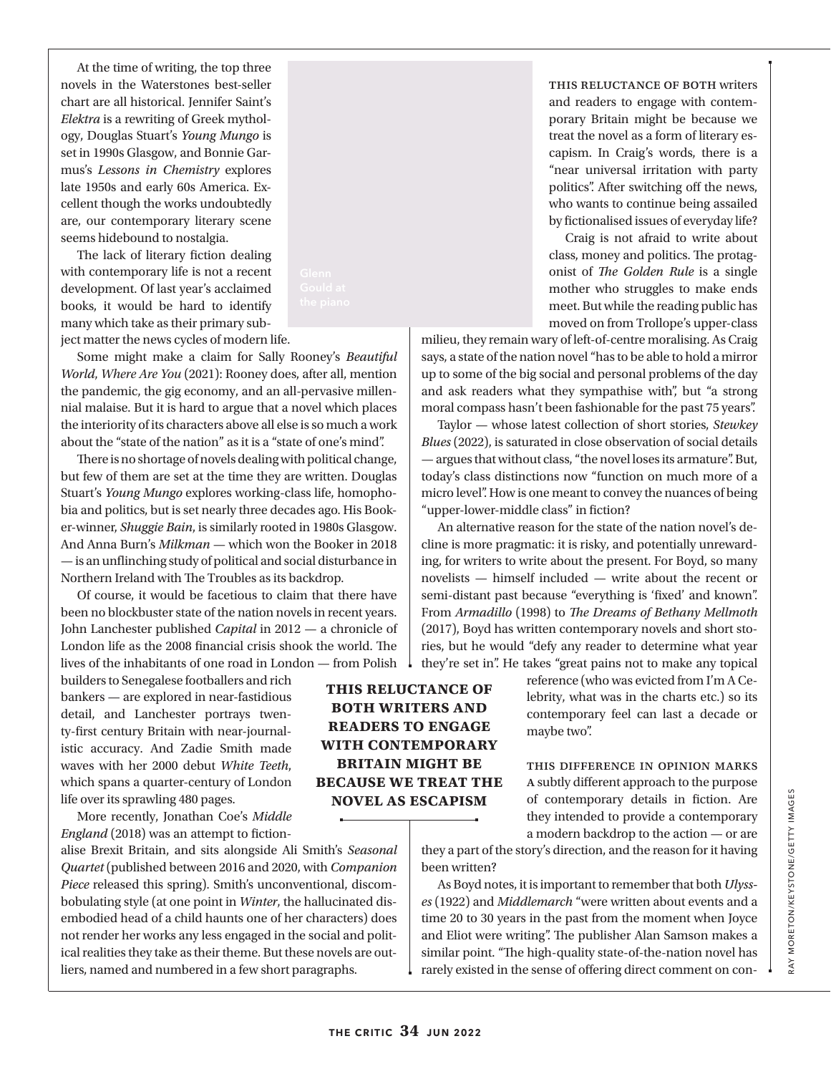At the time of writing, the top three novels in the Waterstones best-seller chart are all historical. Jennifer Saint's *Elektra* is a rewriting of Greek mythology, Douglas Stuart's *Young Mungo* is set in 1990s Glasgow, and Bonnie Garmus's *Lessons in Chemistry* explores late 1950s and early 60s America. Excellent though the works undoubtedly are, our contemporary literary scene seems hidebound to nostalgia.

The lack of literary fiction dealing with contemporary life is not a recent development. Of last year's acclaimed books, it would be hard to identify many which take as their primary subject matter the news cycles of modern life.

Some might make a claim for Sally Rooney's *Beautiful World*, *Where Are You* (2021): Rooney does, after all, mention the pandemic, the gig economy, and an all-pervasive millennial malaise. But it is hard to argue that a novel which places the interiority of its characters above all else is so much a work about the "state of the nation" as it is a "state of one's mind".

There is no shortage of novels dealing with political change, but few of them are set at the time they are written. Douglas Stuart's *Young Mungo* explores working-class life, homophobia and politics, but is set nearly three decades ago. His Booker-winner, *Shuggie Bain*, is similarly rooted in 1980s Glasgow. And Anna Burn's *Milkman* — which won the Booker in 2018 — is an unflinching study of political and social disturbance in Northern Ireland with The Troubles as its backdrop.

Of course, it would be facetious to claim that there have been no blockbuster state of the nation novels in recent years. John Lanchester published *Capital* in 2012 — a chronicle of London life as the 2008 financial crisis shook the world. The lives of the inhabitants of one road in London — from Polish

builders to Senegalese footballers and rich bankers — are explored in near-fastidious detail, and Lanchester portrays twenty-first century Britain with near-journalistic accuracy. And Zadie Smith made waves with her 2000 debut *White Teeth*, which spans a quarter-century of London life over its sprawling 480 pages.

More recently, Jonathan Coe's *Middle England* (2018) was an attempt to fiction-

alise Brexit Britain, and sits alongside Ali Smith's *Seasonal Quartet* (published between 2016 and 2020, with *Companion Piece* released this spring). Smith's unconventional, discombobulating style (at one point in *Winter*, the hallucinated disembodied head of a child haunts one of her characters) does not render her works any less engaged in the social and political realities they take as their theme. But these novels are outliers, named and numbered in a few short paragraphs.

THIS RELUCTANCE OF BOTH writers and readers to engage with contemporary Britain might be because we treat the novel as a form of literary escapism. In Craig's words, there is a "near universal irritation with party politics". After switching off the news, who wants to continue being assailed by fictionalised issues of everyday life?

Craig is not afraid to write about class, money and politics. The protagonist of *The Golden Rule* is a single mother who struggles to make ends meet. But while the reading public has moved on from Trollope's upper-class

milieu, they remain wary of left-of-centre moralising. As Craig says, a state of the nation novel "has to be able to hold a mirror up to some of the big social and personal problems of the day and ask readers what they sympathise with", but "a strong moral compass hasn't been fashionable for the past 75 years".

Taylor — whose latest collection of short stories, *Stewkey Blues* (2022), is saturated in close observation of social details — argues that without class, "the novel loses its armature". But, today's class distinctions now "function on much more of a micro level". How is one meant to convey the nuances of being "upper-lower-middle class" in fiction?

An alternative reason for the state of the nation novel's decline is more pragmatic: it is risky, and potentially unrewarding, for writers to write about the present. For Boyd, so many novelists — himself included — write about the recent or semi-distant past because "everything is 'fixed' and known". From *Armadillo* (1998) to *The Dreams of Bethany Mellmoth* (2017), Boyd has written contemporary novels and short stories, but he would "defy any reader to determine what year they're set in". He takes "great pains not to make any topical

> reference (who was evicted from I'm A Celebrity, what was in the charts etc.) so its contemporary feel can last a decade or maybe two".

> This difference in opinion marks a subtly different approach to the purpose of contemporary details in fiction. Are they intended to provide a contemporary a modern backdrop to the action — or are

they a part of the story's direction, and the reason for it having been written?

As Boyd notes, it is important to remember that both *Ulysses* (1922) and *Middlemarch* "were written about events and a time 20 to 30 years in the past from the moment when Joyce and Eliot were writing". The publisher Alan Samson makes a similar point. "The high-quality state-of-the-nation novel has rarely existed in the sense of offering direct comment on con-

**this reluctance of both writers and readers to engage with contemporary britain might be because we treat the novel as escapism**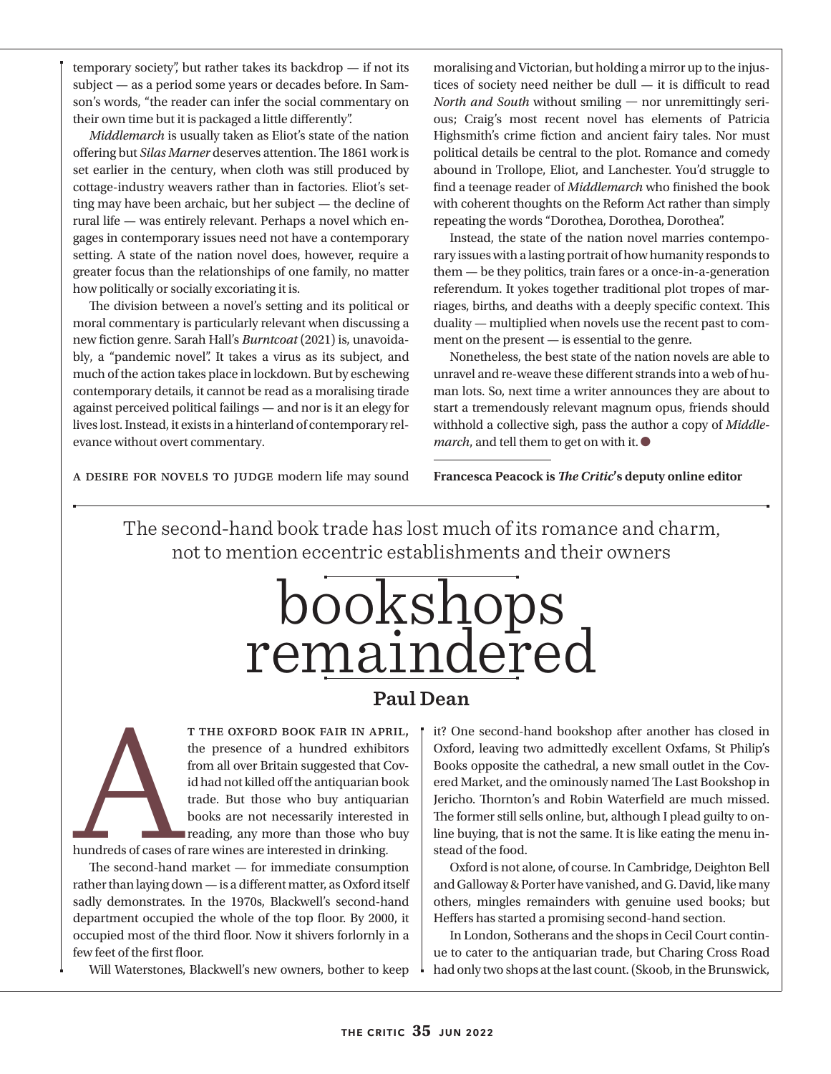temporary society", but rather takes its backdrop — if not its subject — as a period some years or decades before. In Samson's words, "the reader can infer the social commentary on their own time but it is packaged a little differently".

*Middlemarch* is usually taken as Eliot's state of the nation offering but *Silas Marner* deserves attention. The 1861 work is set earlier in the century, when cloth was still produced by cottage-industry weavers rather than in factories. Eliot's setting may have been archaic, but her subject — the decline of rural life — was entirely relevant. Perhaps a novel which engages in contemporary issues need not have a contemporary setting. A state of the nation novel does, however, require a greater focus than the relationships of one family, no matter how politically or socially excoriating it is.

The division between a novel's setting and its political or moral commentary is particularly relevant when discussing a new fiction genre. Sarah Hall's *Burntcoat* (2021) is, unavoidably, a "pandemic novel". It takes a virus as its subject, and much of the action takes place in lockdown. But by eschewing contemporary details, it cannot be read as a moralising tirade against perceived political failings — and nor is it an elegy for lives lost. Instead, it exists in a hinterland of contemporary relevance without overt commentary.

moralising and Victorian, but holding a mirror up to the injustices of society need neither be dull — it is difficult to read *North and South* without smiling — nor unremittingly serious; Craig's most recent novel has elements of Patricia Highsmith's crime fiction and ancient fairy tales. Nor must political details be central to the plot. Romance and comedy abound in Trollope, Eliot, and Lanchester. You'd struggle to find a teenage reader of *Middlemarch* who finished the book with coherent thoughts on the Reform Act rather than simply repeating the words "Dorothea, Dorothea, Dorothea".

Instead, the state of the nation novel marries contemporary issues with a lasting portrait of how humanity responds to them — be they politics, train fares or a once-in-a-generation referendum. It yokes together traditional plot tropes of marriages, births, and deaths with a deeply specific context. This duality — multiplied when novels use the recent past to comment on the present — is essential to the genre.

Nonetheless, the best state of the nation novels are able to unravel and re-weave these different strands into a web of human lots. So, next time a writer announces they are about to start a tremendously relevant magnum opus, friends should withhold a collective sigh, pass the author a copy of *Middlemarch*, and tell them to get on with it. ●

A desire for novels to judge modern life may sound

**Francesca Peacock is** *The Critic***'s deputy online editor** 

The second-hand book trade has lost much of its romance and charm, not to mention eccentric establishments and their owners

## bookshops remaindered

#### **Paul Dean**

THE OXFORD BOOK FAIR IN APRIL,<br>the presence of a hundred exhibitors<br>from all over Britain suggested that Cov-<br>id had not killed off the antiquarian book<br>trade. But those who buy antiquarian<br>books are not necessarily intere the presence of a hundred exhibitors from all over Britain suggested that Covid had not killed off the antiquarian book trade. But those who buy antiquarian books are not necessarily interested in reading, any more than those who buy

hundreds of cases of rare wines are interested in drinking.

The second-hand market — for immediate consumption rather than laying down — is a different matter, as Oxford itself sadly demonstrates. In the 1970s, Blackwell's second-hand department occupied the whole of the top floor. By 2000, it occupied most of the third floor. Now it shivers forlornly in a few feet of the first floor.

Will Waterstones, Blackwell's new owners, bother to keep

it? One second-hand bookshop after another has closed in Oxford, leaving two admittedly excellent Oxfams, St Philip's Books opposite the cathedral, a new small outlet in the Covered Market, and the ominously named The Last Bookshop in Jericho. Thornton's and Robin Waterfield are much missed. The former still sells online, but, although I plead guilty to online buying, that is not the same. It is like eating the menu instead of the food.

Oxford is not alone, of course. In Cambridge, Deighton Bell and Galloway & Porter have vanished, and G. David, like many others, mingles remainders with genuine used books; but Heffers has started a promising second-hand section.

In London, Sotherans and the shops in Cecil Court continue to cater to the antiquarian trade, but Charing Cross Road had only two shops at the last count. (Skoob, in the Brunswick,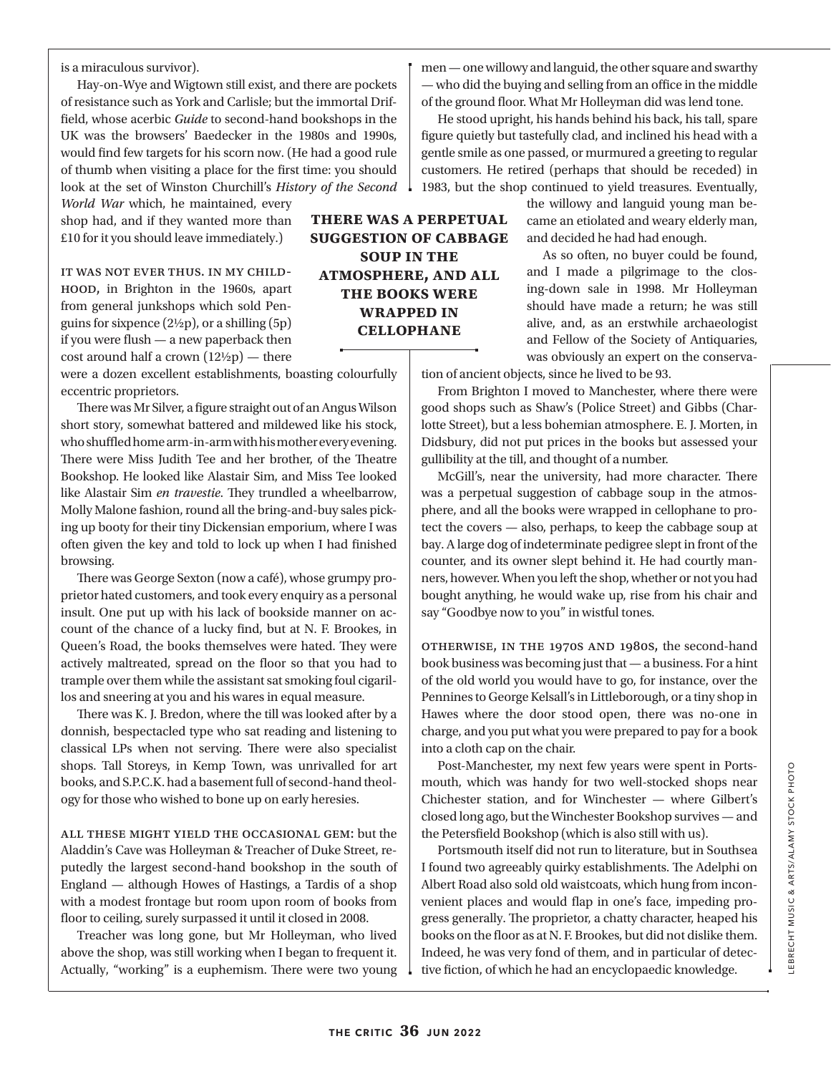is a miraculous survivor).

Hay-on-Wye and Wigtown still exist, and there are pockets of resistance such as York and Carlisle; but the immortal Driffield, whose acerbic *Guide* to second-hand bookshops in the UK was the browsers' Baedecker in the 1980s and 1990s, would find few targets for his scorn now. (He had a good rule of thumb when visiting a place for the first time: you should look at the set of Winston Churchill's *History of the Second* 

*World War* which, he maintained, every shop had, and if they wanted more than £10 for it you should leave immediately.)

It was not ever thus. In my childhood, in Brighton in the 1960s, apart from general junkshops which sold Penguins for sixpence  $(2\frac{1}{2}p)$ , or a shilling  $(5p)$ if you were flush — a new paperback then cost around half a crown  $(12\frac{1}{2}p)$  — there

were a dozen excellent establishments, boasting colourfully eccentric proprietors.

There was Mr Silver, a figure straight out of an Angus Wilson short story, somewhat battered and mildewed like his stock, who shuffled home arm-in-arm with his mother every evening. There were Miss Judith Tee and her brother, of the Theatre Bookshop. He looked like Alastair Sim, and Miss Tee looked like Alastair Sim *en travestie*. They trundled a wheelbarrow, Molly Malone fashion, round all the bring-and-buy sales picking up booty for their tiny Dickensian emporium, where I was often given the key and told to lock up when I had finished browsing.

There was George Sexton (now a café), whose grumpy proprietor hated customers, and took every enquiry as a personal insult. One put up with his lack of bookside manner on account of the chance of a lucky find, but at N. F. Brookes, in Queen's Road, the books themselves were hated. They were actively maltreated, spread on the floor so that you had to trample over them while the assistant sat smoking foul cigarillos and sneering at you and his wares in equal measure.

There was K. J. Bredon, where the till was looked after by a donnish, bespectacled type who sat reading and listening to classical LPs when not serving. There were also specialist shops. Tall Storeys, in Kemp Town, was unrivalled for art books, and S.P.C.K. had a basement full of second-hand theology for those who wished to bone up on early heresies.

All these might yield the occasional gem: but the Aladdin's Cave was Holleyman & Treacher of Duke Street, reputedly the largest second-hand bookshop in the south of England — although Howes of Hastings, a Tardis of a shop with a modest frontage but room upon room of books from floor to ceiling, surely surpassed it until it closed in 2008.

Treacher was long gone, but Mr Holleyman, who lived above the shop, was still working when I began to frequent it. Actually, "working" is a euphemism. There were two young men — one willowy and languid, the other square and swarthy — who did the buying and selling from an office in the middle of the ground floor. What Mr Holleyman did was lend tone.

He stood upright, his hands behind his back, his tall, spare figure quietly but tastefully clad, and inclined his head with a gentle smile as one passed, or murmured a greeting to regular customers. He retired (perhaps that should be receded) in 1983, but the shop continued to yield treasures. Eventually,

> the willowy and languid young man became an etiolated and weary elderly man, and decided he had had enough.

As so often, no buyer could be found, and I made a pilgrimage to the closing-down sale in 1998. Mr Holleyman should have made a return; he was still alive, and, as an erstwhile archaeologist and Fellow of the Society of Antiquaries, was obviously an expert on the conserva-

tion of ancient objects, since he lived to be 93.

From Brighton I moved to Manchester, where there were good shops such as Shaw's (Police Street) and Gibbs (Charlotte Street), but a less bohemian atmosphere. E. J. Morten, in Didsbury, did not put prices in the books but assessed your gullibility at the till, and thought of a number.

McGill's, near the university, had more character. There was a perpetual suggestion of cabbage soup in the atmosphere, and all the books were wrapped in cellophane to protect the covers — also, perhaps, to keep the cabbage soup at bay. A large dog of indeterminate pedigree slept in front of the counter, and its owner slept behind it. He had courtly manners, however. When you left the shop, whether or not you had bought anything, he would wake up, rise from his chair and say "Goodbye now to you" in wistful tones.

Otherwise, in the 1970s and 1980s, the second-hand book business was becoming just that — a business. For a hint of the old world you would have to go, for instance, over the Pennines to George Kelsall's in Littleborough, or a tiny shop in Hawes where the door stood open, there was no-one in charge, and you put what you were prepared to pay for a book into a cloth cap on the chair.

Post-Manchester, my next few years were spent in Portsmouth, which was handy for two well-stocked shops near Chichester station, and for Winchester — where Gilbert's closed long ago, but the Winchester Bookshop survives — and the Petersfield Bookshop (which is also still with us).

Portsmouth itself did not run to literature, but in Southsea I found two agreeably quirky establishments. The Adelphi on Albert Road also sold old waistcoats, which hung from inconvenient places and would flap in one's face, impeding progress generally. The proprietor, a chatty character, heaped his books on the floor as at N. F. Brookes, but did not dislike them. Indeed, he was very fond of them, and in particular of detective fiction, of which he had an encyclopaedic knowledge.

#### **THERE WAS A PERPETUAL SUGGESTION OF CABBAGE SOUP IN THE ATMOSPHERE, AND ALL THE BOOKS WERE WRAPPED IN CELLOPHANE**